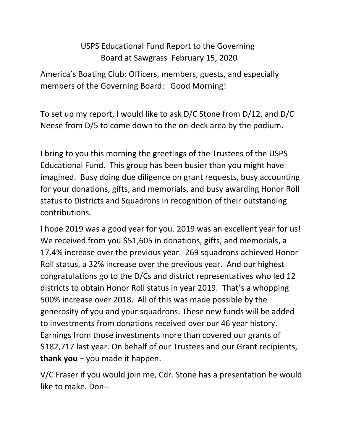## USPS Educational Fund Report to the Governing Board at Sawgrass February 15, 2020

America's Boating Club: Officers, members, guests, and especially members of the Governing Board: Good Morning!

To set up my report, I would like to ask D/C Stone from D/12, and D/C Neese from D/5 to come down to the on-deck area by the podium.

I bring to you this morning the greetings of the Trustees of the USPS Educational Fund. This group has been busier than you might have imagined. Busy doing due diligence on grant requests, busy accounting for your donations, gifts, and memorials, and busy awarding Honor Roll status to Districts and Squadrons in recognition of their outstanding contributions.

I hope 2019 was a good year for you. 2019 was an excellent year for us! We received from you \$51,605 in donations, gifts, and memorials, a 17.4% increase over the previous year. 269 squadrons achieved Honor Roll status, a 32% increase over the previous year. And our highest congratulations go to the D/Cs and district representatives who led 12 districts to obtain Honor Roll status in year 2019. That's a whopping 500% increase over 2018. All of this was made possible by the generosity of you and your squadrons. These new funds will be added to investments from donations received over our 46 year history. Earnings from those investments more than covered our grants of \$182,717 last year. On behalf of our Trustees and our Grant recipients, **thank you** – you made it happen.

V/C Fraser if you would join me, Cdr. Stone has a presentation he would like to make. Don--